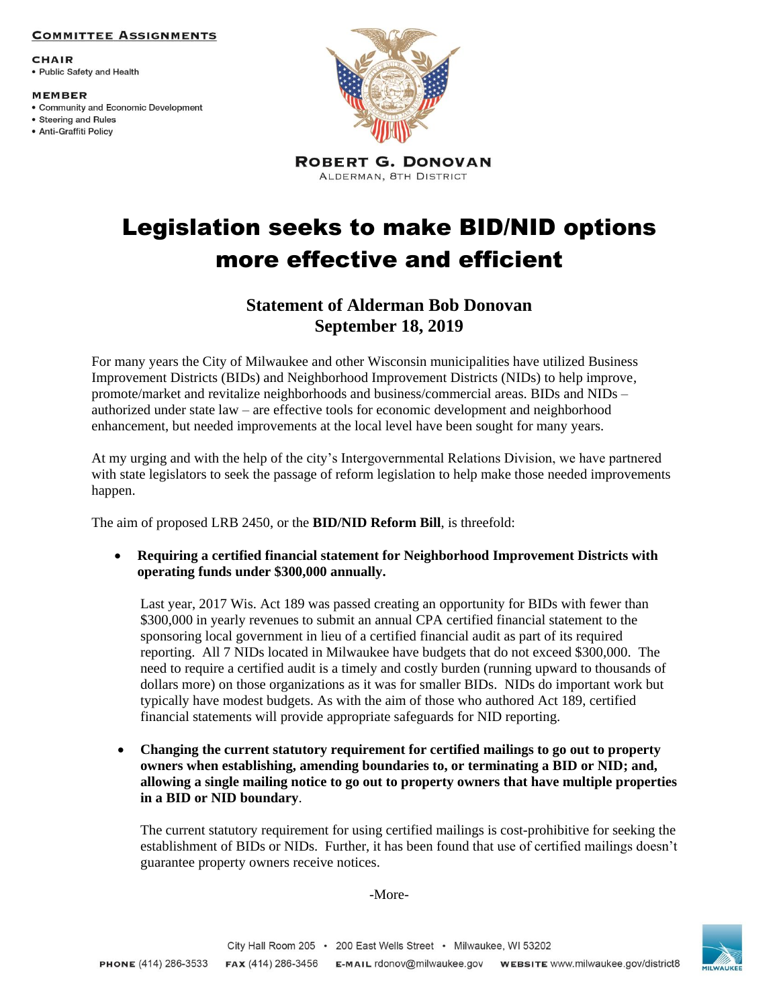### **COMMITTEE ASSIGNMENTS**

**CHAIR** • Public Safety and Health

#### **MEMBER**

- Community and Economic Development
- Steering and Rules · Anti-Graffiti Policy



**ROBERT G. DONOVAN** ALDERMAN, 8TH DISTRICT

# Legislation seeks to make BID/NID options more effective and efficient

## **Statement of Alderman Bob Donovan September 18, 2019**

For many years the City of Milwaukee and other Wisconsin municipalities have utilized Business Improvement Districts (BIDs) and Neighborhood Improvement Districts (NIDs) to help improve, promote/market and revitalize neighborhoods and business/commercial areas. BIDs and NIDs – authorized under state law – are effective tools for economic development and neighborhood enhancement, but needed improvements at the local level have been sought for many years.

At my urging and with the help of the city's Intergovernmental Relations Division, we have partnered with state legislators to seek the passage of reform legislation to help make those needed improvements happen.

The aim of proposed LRB 2450, or the **BID/NID Reform Bill**, is threefold:

 **Requiring a certified financial statement for Neighborhood Improvement Districts with operating funds under \$300,000 annually.** 

Last year, 2017 Wis. Act 189 was passed creating an opportunity for BIDs with fewer than \$300,000 in yearly revenues to submit an annual CPA certified financial statement to the sponsoring local government in lieu of a certified financial audit as part of its required reporting. All 7 NIDs located in Milwaukee have budgets that do not exceed \$300,000. The need to require a certified audit is a timely and costly burden (running upward to thousands of dollars more) on those organizations as it was for smaller BIDs. NIDs do important work but typically have modest budgets. As with the aim of those who authored Act 189, certified financial statements will provide appropriate safeguards for NID reporting.

 **Changing the current statutory requirement for certified mailings to go out to property owners when establishing, amending boundaries to, or terminating a BID or NID; and, allowing a single mailing notice to go out to property owners that have multiple properties in a BID or NID boundary**.

The current statutory requirement for using certified mailings is cost-prohibitive for seeking the establishment of BIDs or NIDs. Further, it has been found that use of certified mailings doesn't guarantee property owners receive notices.

-More-

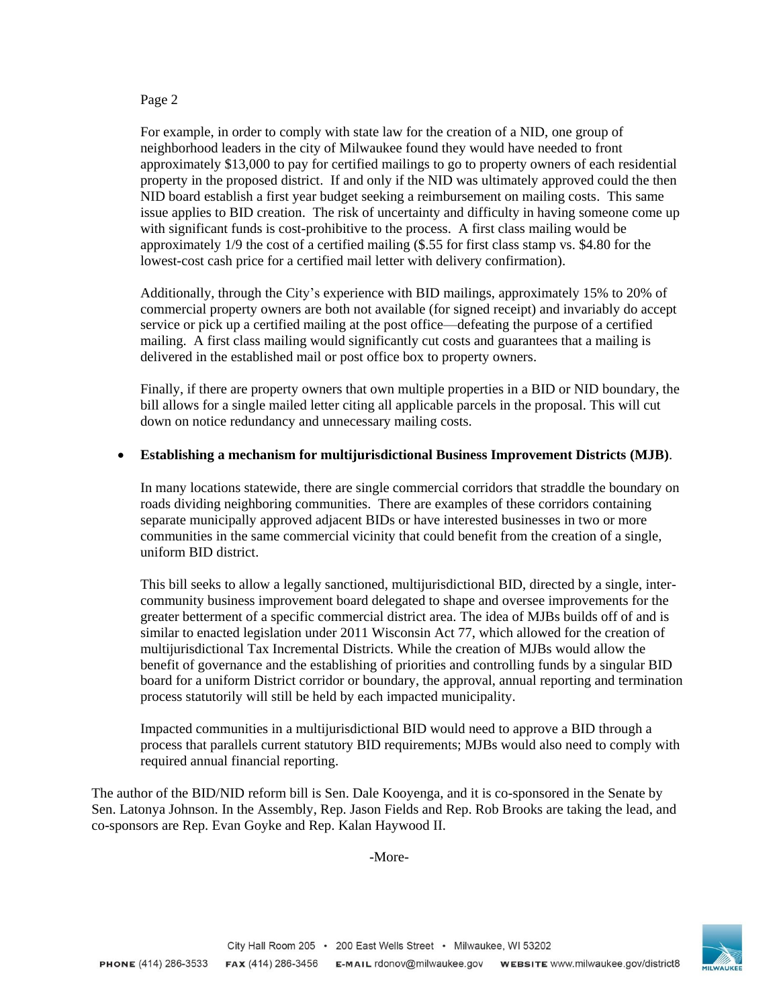## Page 2

For example, in order to comply with state law for the creation of a NID, one group of neighborhood leaders in the city of Milwaukee found they would have needed to front approximately \$13,000 to pay for certified mailings to go to property owners of each residential property in the proposed district. If and only if the NID was ultimately approved could the then NID board establish a first year budget seeking a reimbursement on mailing costs. This same issue applies to BID creation. The risk of uncertainty and difficulty in having someone come up with significant funds is cost-prohibitive to the process. A first class mailing would be approximately 1/9 the cost of a certified mailing (\$.55 for first class stamp vs. \$4.80 for the lowest-cost cash price for a certified mail letter with delivery confirmation).

Additionally, through the City's experience with BID mailings, approximately 15% to 20% of commercial property owners are both not available (for signed receipt) and invariably do accept service or pick up a certified mailing at the post office—defeating the purpose of a certified mailing. A first class mailing would significantly cut costs and guarantees that a mailing is delivered in the established mail or post office box to property owners.

Finally, if there are property owners that own multiple properties in a BID or NID boundary, the bill allows for a single mailed letter citing all applicable parcels in the proposal. This will cut down on notice redundancy and unnecessary mailing costs.

## **Establishing a mechanism for multijurisdictional Business Improvement Districts (MJB)**.

In many locations statewide, there are single commercial corridors that straddle the boundary on roads dividing neighboring communities. There are examples of these corridors containing separate municipally approved adjacent BIDs or have interested businesses in two or more communities in the same commercial vicinity that could benefit from the creation of a single, uniform BID district.

This bill seeks to allow a legally sanctioned, multijurisdictional BID, directed by a single, intercommunity business improvement board delegated to shape and oversee improvements for the greater betterment of a specific commercial district area. The idea of MJBs builds off of and is similar to enacted legislation under 2011 Wisconsin Act 77, which allowed for the creation of multijurisdictional Tax Incremental Districts. While the creation of MJBs would allow the benefit of governance and the establishing of priorities and controlling funds by a singular BID board for a uniform District corridor or boundary, the approval, annual reporting and termination process statutorily will still be held by each impacted municipality.

Impacted communities in a multijurisdictional BID would need to approve a BID through a process that parallels current statutory BID requirements; MJBs would also need to comply with required annual financial reporting.

The author of the BID/NID reform bill is Sen. Dale Kooyenga, and it is co-sponsored in the Senate by Sen. Latonya Johnson. In the Assembly, Rep. Jason Fields and Rep. Rob Brooks are taking the lead, and co-sponsors are Rep. Evan Goyke and Rep. Kalan Haywood II.

-More-